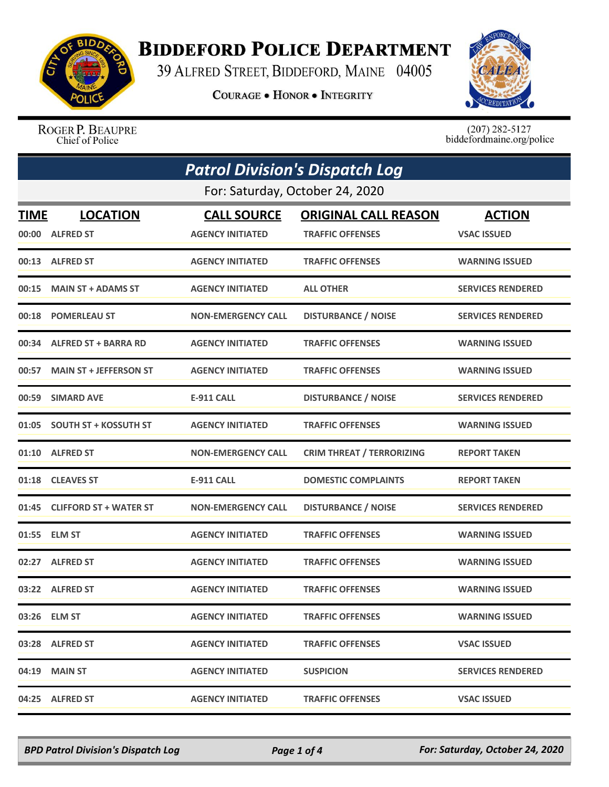

## **BIDDEFORD POLICE DEPARTMENT**

39 ALFRED STREET, BIDDEFORD, MAINE 04005

**COURAGE . HONOR . INTEGRITY** 



ROGER P. BEAUPRE Chief of Police

 $(207)$  282-5127<br>biddefordmaine.org/police

| <b>Patrol Division's Dispatch Log</b> |                                 |                           |                                  |                          |  |
|---------------------------------------|---------------------------------|---------------------------|----------------------------------|--------------------------|--|
|                                       | For: Saturday, October 24, 2020 |                           |                                  |                          |  |
| TIME                                  | <b>LOCATION</b>                 | <b>CALL SOURCE</b>        | <b>ORIGINAL CALL REASON</b>      | <b>ACTION</b>            |  |
|                                       | 00:00 ALFRED ST                 | <b>AGENCY INITIATED</b>   | <b>TRAFFIC OFFENSES</b>          | <b>VSAC ISSUED</b>       |  |
|                                       | 00:13 ALFRED ST                 | <b>AGENCY INITIATED</b>   | <b>TRAFFIC OFFENSES</b>          | <b>WARNING ISSUED</b>    |  |
| 00:15                                 | <b>MAIN ST + ADAMS ST</b>       | <b>AGENCY INITIATED</b>   | <b>ALL OTHER</b>                 | <b>SERVICES RENDERED</b> |  |
|                                       | 00:18 POMERLEAU ST              | <b>NON-EMERGENCY CALL</b> | <b>DISTURBANCE / NOISE</b>       | <b>SERVICES RENDERED</b> |  |
|                                       | 00:34 ALFRED ST + BARRA RD      | <b>AGENCY INITIATED</b>   | <b>TRAFFIC OFFENSES</b>          | <b>WARNING ISSUED</b>    |  |
| 00:57                                 | <b>MAIN ST + JEFFERSON ST</b>   | <b>AGENCY INITIATED</b>   | <b>TRAFFIC OFFENSES</b>          | <b>WARNING ISSUED</b>    |  |
|                                       | 00:59 SIMARD AVE                | <b>E-911 CALL</b>         | <b>DISTURBANCE / NOISE</b>       | <b>SERVICES RENDERED</b> |  |
|                                       | 01:05 SOUTH ST + KOSSUTH ST     | <b>AGENCY INITIATED</b>   | <b>TRAFFIC OFFENSES</b>          | <b>WARNING ISSUED</b>    |  |
| 01:10                                 | <b>ALFRED ST</b>                | <b>NON-EMERGENCY CALL</b> | <b>CRIM THREAT / TERRORIZING</b> | <b>REPORT TAKEN</b>      |  |
|                                       | 01:18 CLEAVES ST                | E-911 CALL                | <b>DOMESTIC COMPLAINTS</b>       | <b>REPORT TAKEN</b>      |  |
| 01:45                                 | <b>CLIFFORD ST + WATER ST</b>   | <b>NON-EMERGENCY CALL</b> | <b>DISTURBANCE / NOISE</b>       | <b>SERVICES RENDERED</b> |  |
|                                       | 01:55 ELM ST                    | <b>AGENCY INITIATED</b>   | <b>TRAFFIC OFFENSES</b>          | <b>WARNING ISSUED</b>    |  |
|                                       | 02:27 ALFRED ST                 | <b>AGENCY INITIATED</b>   | <b>TRAFFIC OFFENSES</b>          | <b>WARNING ISSUED</b>    |  |
|                                       | 03:22 ALFRED ST                 | <b>AGENCY INITIATED</b>   | <b>TRAFFIC OFFENSES</b>          | <b>WARNING ISSUED</b>    |  |
|                                       | 03:26 ELM ST                    | <b>AGENCY INITIATED</b>   | <b>TRAFFIC OFFENSES</b>          | <b>WARNING ISSUED</b>    |  |
|                                       | 03:28 ALFRED ST                 | <b>AGENCY INITIATED</b>   | <b>TRAFFIC OFFENSES</b>          | <b>VSAC ISSUED</b>       |  |
|                                       | 04:19 MAIN ST                   | <b>AGENCY INITIATED</b>   | <b>SUSPICION</b>                 | <b>SERVICES RENDERED</b> |  |
|                                       | 04:25 ALFRED ST                 | <b>AGENCY INITIATED</b>   | <b>TRAFFIC OFFENSES</b>          | <b>VSAC ISSUED</b>       |  |

*BPD Patrol Division's Dispatch Log Page 1 of 4 For: Saturday, October 24, 2020*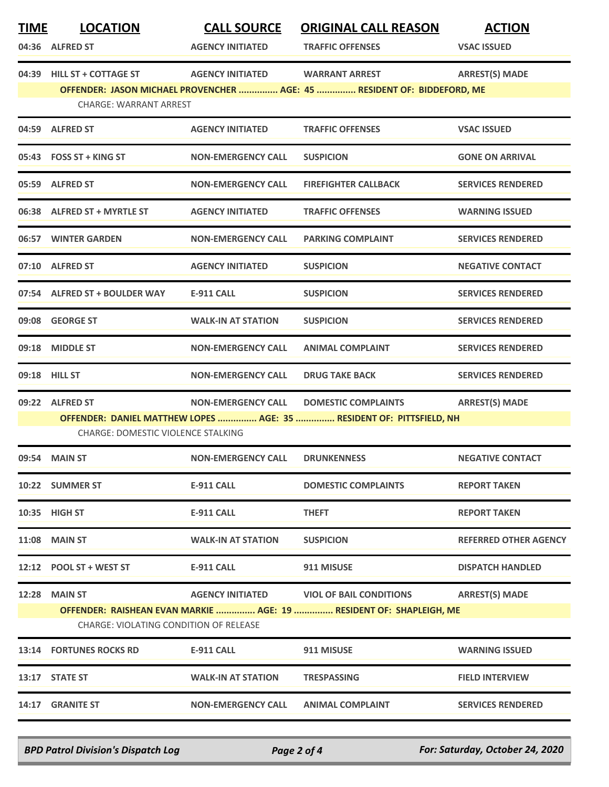| <b>TIME</b>                                                                                                   | <b>LOCATION</b>                    | <b>CALL SOURCE</b>        | <b>ORIGINAL CALL REASON</b>                                             | <b>ACTION</b>                |
|---------------------------------------------------------------------------------------------------------------|------------------------------------|---------------------------|-------------------------------------------------------------------------|------------------------------|
|                                                                                                               | 04:36 ALFRED ST                    | <b>AGENCY INITIATED</b>   | <b>TRAFFIC OFFENSES</b>                                                 | <b>VSAC ISSUED</b>           |
|                                                                                                               | 04:39 HILL ST + COTTAGE ST         | <b>AGENCY INITIATED</b>   | <b>WARRANT ARREST</b>                                                   | <b>ARREST(S) MADE</b>        |
|                                                                                                               | <b>CHARGE: WARRANT ARREST</b>      |                           | OFFENDER: JASON MICHAEL PROVENCHER  AGE: 45  RESIDENT OF: BIDDEFORD, ME |                              |
|                                                                                                               | 04:59 ALFRED ST                    | <b>AGENCY INITIATED</b>   | <b>TRAFFIC OFFENSES</b>                                                 | <b>VSAC ISSUED</b>           |
|                                                                                                               | 05:43 FOSS ST + KING ST            | <b>NON-EMERGENCY CALL</b> | <b>SUSPICION</b>                                                        | <b>GONE ON ARRIVAL</b>       |
|                                                                                                               | 05:59 ALFRED ST                    | <b>NON-EMERGENCY CALL</b> | <b>FIREFIGHTER CALLBACK</b>                                             | <b>SERVICES RENDERED</b>     |
|                                                                                                               | 06:38 ALFRED ST + MYRTLE ST        | <b>AGENCY INITIATED</b>   | <b>TRAFFIC OFFENSES</b>                                                 | <b>WARNING ISSUED</b>        |
|                                                                                                               | 06:57 WINTER GARDEN                | <b>NON-EMERGENCY CALL</b> | <b>PARKING COMPLAINT</b>                                                | <b>SERVICES RENDERED</b>     |
|                                                                                                               | 07:10 ALFRED ST                    | <b>AGENCY INITIATED</b>   | <b>SUSPICION</b>                                                        | <b>NEGATIVE CONTACT</b>      |
|                                                                                                               | 07:54 ALFRED ST + BOULDER WAY      | <b>E-911 CALL</b>         | <b>SUSPICION</b>                                                        | <b>SERVICES RENDERED</b>     |
|                                                                                                               | 09:08 GEORGE ST                    | <b>WALK-IN AT STATION</b> | <b>SUSPICION</b>                                                        | <b>SERVICES RENDERED</b>     |
|                                                                                                               | 09:18 MIDDLE ST                    | <b>NON-EMERGENCY CALL</b> | <b>ANIMAL COMPLAINT</b>                                                 | <b>SERVICES RENDERED</b>     |
|                                                                                                               | 09:18 HILL ST                      | <b>NON-EMERGENCY CALL</b> | <b>DRUG TAKE BACK</b>                                                   | <b>SERVICES RENDERED</b>     |
|                                                                                                               | 09:22 ALFRED ST                    | <b>NON-EMERGENCY CALL</b> | <b>DOMESTIC COMPLAINTS</b>                                              | <b>ARREST(S) MADE</b>        |
|                                                                                                               | CHARGE: DOMESTIC VIOLENCE STALKING |                           | OFFENDER: DANIEL MATTHEW LOPES  AGE: 35  RESIDENT OF: PITTSFIELD, NH    |                              |
|                                                                                                               | 09:54 MAIN ST                      | <b>NON-EMERGENCY CALL</b> | <b>DRUNKENNESS</b>                                                      | <b>NEGATIVE CONTACT</b>      |
|                                                                                                               | 10:22 SUMMER ST                    | <b>E-911 CALL</b>         | <b>DOMESTIC COMPLAINTS</b>                                              | <b>REPORT TAKEN</b>          |
|                                                                                                               | 10:35 HIGH ST                      | <b>E-911 CALL</b>         | <b>THEFT</b>                                                            | <b>REPORT TAKEN</b>          |
|                                                                                                               | <b>11:08 MAIN ST</b>               | <b>WALK-IN AT STATION</b> | <b>SUSPICION</b>                                                        | <b>REFERRED OTHER AGENCY</b> |
|                                                                                                               | 12:12 POOL ST + WEST ST            | <b>E-911 CALL</b>         | 911 MISUSE                                                              | <b>DISPATCH HANDLED</b>      |
|                                                                                                               | <b>12:28 MAIN ST</b>               | <b>AGENCY INITIATED</b>   | <b>VIOL OF BAIL CONDITIONS</b>                                          | <b>ARREST(S) MADE</b>        |
| OFFENDER: RAISHEAN EVAN MARKIE  AGE: 19  RESIDENT OF: SHAPLEIGH, ME<br>CHARGE: VIOLATING CONDITION OF RELEASE |                                    |                           |                                                                         |                              |
|                                                                                                               | <b>13:14 FORTUNES ROCKS RD</b>     | <b>E-911 CALL</b>         | 911 MISUSE                                                              | <b>WARNING ISSUED</b>        |
|                                                                                                               | 13:17 STATE ST                     | <b>WALK-IN AT STATION</b> | <b>TRESPASSING</b>                                                      | <b>FIELD INTERVIEW</b>       |
|                                                                                                               | 14:17 GRANITE ST                   | <b>NON-EMERGENCY CALL</b> | <b>ANIMAL COMPLAINT</b>                                                 | <b>SERVICES RENDERED</b>     |

*BPD Patrol Division's Dispatch Log Page 2 of 4 For: Saturday, October 24, 2020*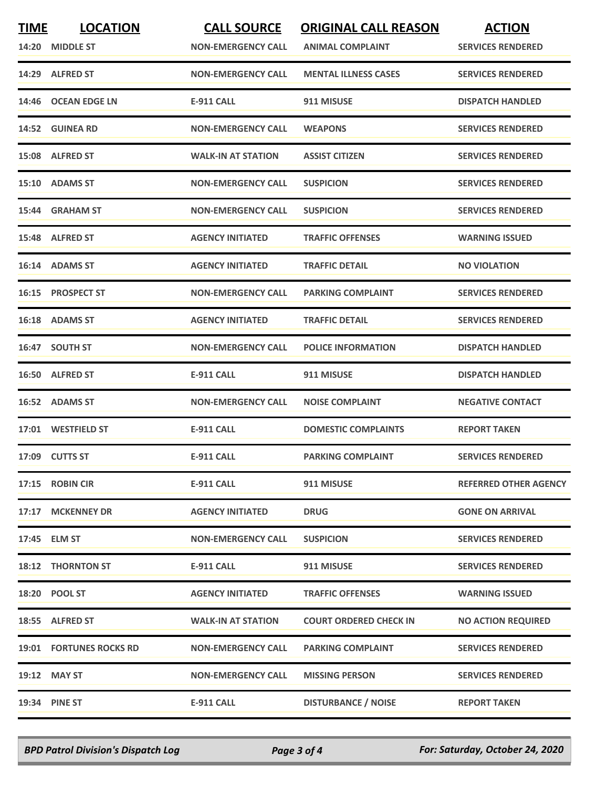| <b>TIME</b> | <b>LOCATION</b>                | <b>CALL SOURCE</b>        | <b>ORIGINAL CALL REASON</b>   | <b>ACTION</b>                |
|-------------|--------------------------------|---------------------------|-------------------------------|------------------------------|
|             | 14:20 MIDDLE ST                | <b>NON-EMERGENCY CALL</b> | <b>ANIMAL COMPLAINT</b>       | <b>SERVICES RENDERED</b>     |
|             | 14:29 ALFRED ST                | <b>NON-EMERGENCY CALL</b> | <b>MENTAL ILLNESS CASES</b>   | <b>SERVICES RENDERED</b>     |
|             | 14:46 OCEAN EDGE LN            | <b>E-911 CALL</b>         | 911 MISUSE                    | <b>DISPATCH HANDLED</b>      |
|             | 14:52 GUINEA RD                | <b>NON-EMERGENCY CALL</b> | <b>WEAPONS</b>                | <b>SERVICES RENDERED</b>     |
|             | 15:08 ALFRED ST                | <b>WALK-IN AT STATION</b> | <b>ASSIST CITIZEN</b>         | <b>SERVICES RENDERED</b>     |
|             | 15:10 ADAMS ST                 | <b>NON-EMERGENCY CALL</b> | <b>SUSPICION</b>              | <b>SERVICES RENDERED</b>     |
|             | 15:44 GRAHAM ST                | <b>NON-EMERGENCY CALL</b> | <b>SUSPICION</b>              | <b>SERVICES RENDERED</b>     |
|             | 15:48 ALFRED ST                | <b>AGENCY INITIATED</b>   | <b>TRAFFIC OFFENSES</b>       | <b>WARNING ISSUED</b>        |
|             | 16:14 ADAMS ST                 | <b>AGENCY INITIATED</b>   | <b>TRAFFIC DETAIL</b>         | <b>NO VIOLATION</b>          |
|             | 16:15 PROSPECT ST              | <b>NON-EMERGENCY CALL</b> | <b>PARKING COMPLAINT</b>      | <b>SERVICES RENDERED</b>     |
|             | 16:18 ADAMS ST                 | <b>AGENCY INITIATED</b>   | <b>TRAFFIC DETAIL</b>         | <b>SERVICES RENDERED</b>     |
|             | 16:47 SOUTH ST                 | <b>NON-EMERGENCY CALL</b> | <b>POLICE INFORMATION</b>     | <b>DISPATCH HANDLED</b>      |
|             | 16:50 ALFRED ST                | <b>E-911 CALL</b>         | 911 MISUSE                    | <b>DISPATCH HANDLED</b>      |
|             | 16:52 ADAMS ST                 | <b>NON-EMERGENCY CALL</b> | <b>NOISE COMPLAINT</b>        | <b>NEGATIVE CONTACT</b>      |
|             | 17:01 WESTFIELD ST             | <b>E-911 CALL</b>         | <b>DOMESTIC COMPLAINTS</b>    | <b>REPORT TAKEN</b>          |
|             | 17:09 CUTTS ST                 | <b>E-911 CALL</b>         | <b>PARKING COMPLAINT</b>      | <b>SERVICES RENDERED</b>     |
|             | 17:15 ROBIN CIR                | <b>E-911 CALL</b>         | 911 MISUSE                    | <b>REFERRED OTHER AGENCY</b> |
|             | 17:17 MCKENNEY DR              | <b>AGENCY INITIATED</b>   | <b>DRUG</b>                   | <b>GONE ON ARRIVAL</b>       |
|             | 17:45 ELM ST                   | <b>NON-EMERGENCY CALL</b> | <b>SUSPICION</b>              | <b>SERVICES RENDERED</b>     |
|             | <b>18:12 THORNTON ST</b>       | <b>E-911 CALL</b>         | 911 MISUSE                    | <b>SERVICES RENDERED</b>     |
|             | 18:20 POOL ST                  | <b>AGENCY INITIATED</b>   | <b>TRAFFIC OFFENSES</b>       | <b>WARNING ISSUED</b>        |
|             | 18:55 ALFRED ST                | <b>WALK-IN AT STATION</b> | <b>COURT ORDERED CHECK IN</b> | <b>NO ACTION REQUIRED</b>    |
|             | <b>19:01 FORTUNES ROCKS RD</b> | <b>NON-EMERGENCY CALL</b> | <b>PARKING COMPLAINT</b>      | <b>SERVICES RENDERED</b>     |
|             | 19:12 MAY ST                   | <b>NON-EMERGENCY CALL</b> | <b>MISSING PERSON</b>         | <b>SERVICES RENDERED</b>     |
|             | <b>19:34 PINE ST</b>           | <b>E-911 CALL</b>         | <b>DISTURBANCE / NOISE</b>    | <b>REPORT TAKEN</b>          |

*BPD Patrol Division's Dispatch Log Page 3 of 4 For: Saturday, October 24, 2020*